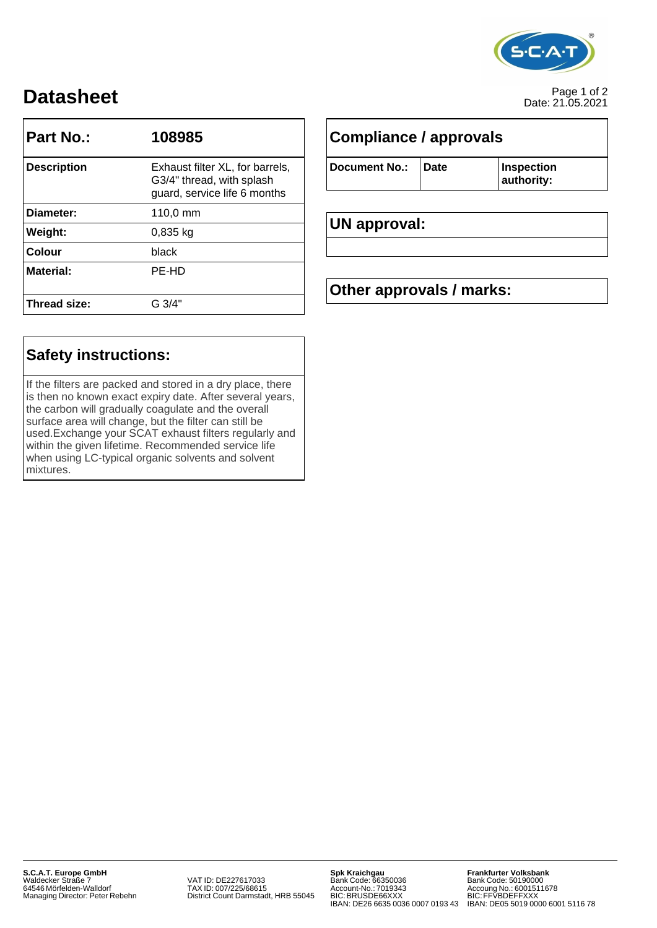

# Page 1 of 2 **Datasheet** Date: 21.05.2021

| Part No.:          | 108985                                                                                       |                          | Compliance / approvals |                          |  |
|--------------------|----------------------------------------------------------------------------------------------|--------------------------|------------------------|--------------------------|--|
| <b>Description</b> | Exhaust filter XL, for barrels,<br>G3/4" thread, with splash<br>guard, service life 6 months | <b>Document No.:</b>     | <b>Date</b>            | Inspection<br>authority: |  |
| Diameter:          | 110,0 mm                                                                                     |                          |                        |                          |  |
| Weight:            | 0,835 kg                                                                                     | UN approval:             |                        |                          |  |
| <b>Colour</b>      | black                                                                                        |                          |                        |                          |  |
| <b>Material:</b>   | PE-HD                                                                                        |                          |                        |                          |  |
|                    |                                                                                              | Other approvals / marks: |                        |                          |  |
| Thread size:       | G 3/4"                                                                                       |                          |                        |                          |  |

## **Safety instructions:**

If the filters are packed and stored in a dry place, there is then no known exact expiry date. After several years, the carbon will gradually coagulate and the overall surface area will change, but the filter can still be used.Exchange your SCAT exhaust filters regularly and within the given lifetime. Recommended service life when using LC-typical organic solvents and solvent mixtures.

| <b>Document No.:</b> | Date |
|----------------------|------|
|                      |      |

### **UN approval:**

## **Other approvals / marks:**